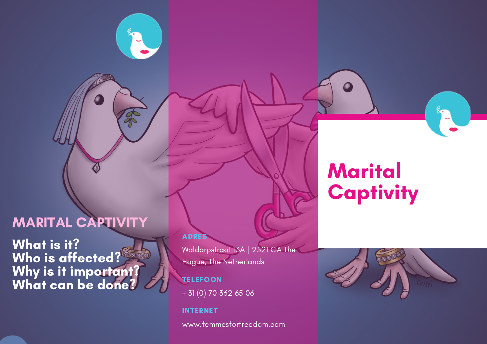## MARITAL CAPTIVITY

What is it? Who is affected? Why is it important? What can be done?

#### ADRES

Waldorpstraat 13A | 2521 CA The Hague, The Netherlands

**TELEFOON** 

+ 31 (0) 70 362 65 06

www.femmesforfreedom.com INTERNET

# Marital **Captivity**